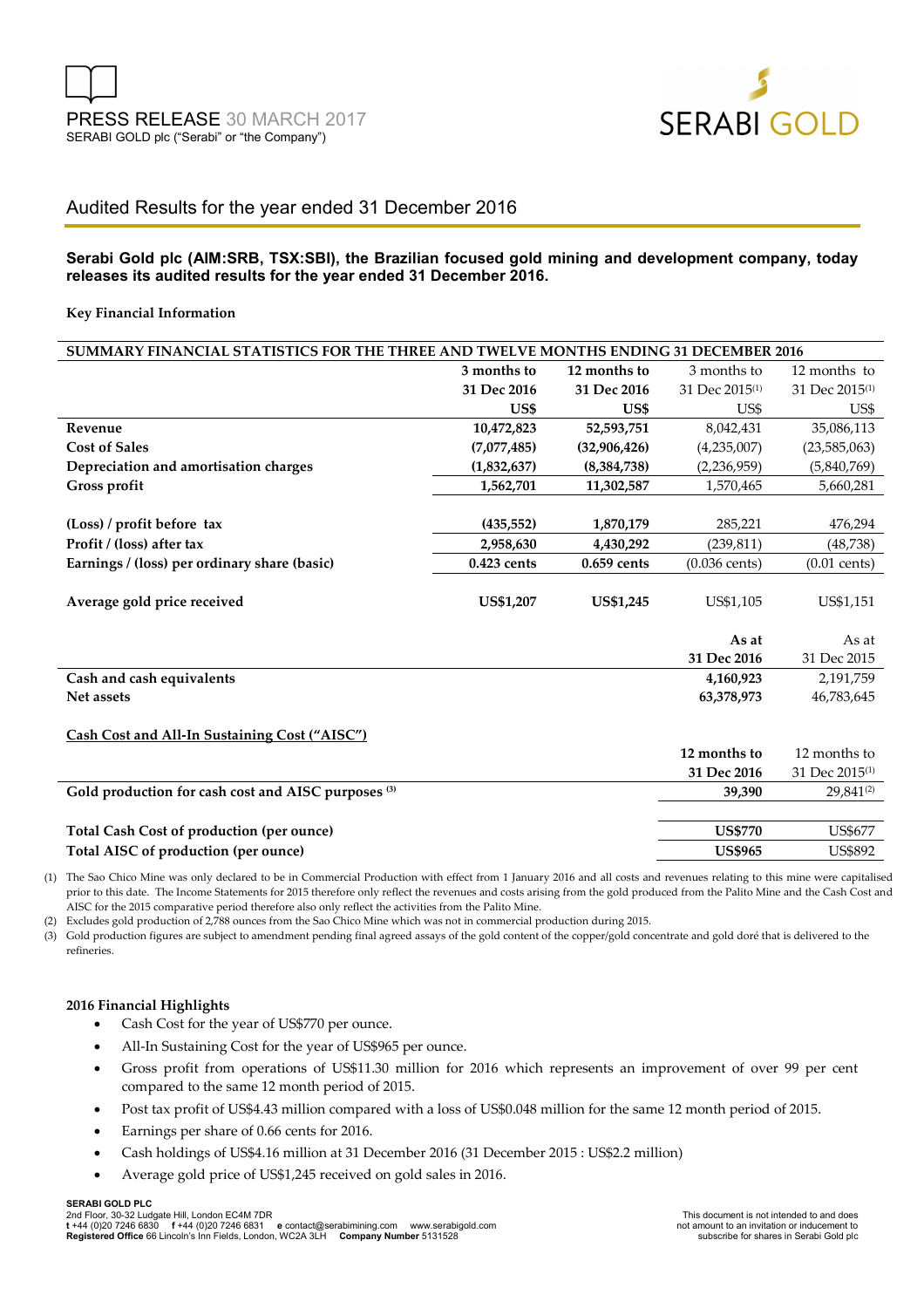

# Audited Results for the year ended 31 December 2016

# **Serabi Gold plc (AIM:SRB, TSX:SBI), the Brazilian focused gold mining and development company, today releases its audited results for the year ended 31 December 2016.**

# **Key Financial Information**

| SUMMARY FINANCIAL STATISTICS FOR THE THREE AND TWELVE MONTHS ENDING 31 DECEMBER 2016 |                  |                  |                            |                            |
|--------------------------------------------------------------------------------------|------------------|------------------|----------------------------|----------------------------|
|                                                                                      | 3 months to      | 12 months to     | 3 months to                | 12 months to               |
|                                                                                      | 31 Dec 2016      | 31 Dec 2016      | 31 Dec 2015 <sup>(1)</sup> | 31 Dec 2015 <sup>(1)</sup> |
|                                                                                      | US\$             | US\$             | US\$                       | US\$                       |
| Revenue                                                                              | 10,472,823       | 52,593,751       | 8,042,431                  | 35,086,113                 |
| <b>Cost of Sales</b>                                                                 | (7,077,485)      | (32,906,426)     | (4,235,007)                | (23,585,063)               |
| Depreciation and amortisation charges                                                | (1,832,637)      | (8,384,738)      | (2, 236, 959)              | (5,840,769)                |
| Gross profit                                                                         | 1,562,701        | 11,302,587       | 1,570,465                  | 5,660,281                  |
|                                                                                      |                  |                  |                            |                            |
| (Loss) / profit before tax                                                           | (435, 552)       | 1,870,179        | 285,221                    | 476,294                    |
| Profit / (loss) after tax                                                            | 2,958,630        | 4,430,292        | (239, 811)                 | (48,738)                   |
| Earnings / (loss) per ordinary share (basic)                                         | 0.423 cents      | 0.659 cents      | $(0.036 \text{ cents})$    | $(0.01$ cents)             |
|                                                                                      |                  |                  |                            |                            |
| Average gold price received                                                          | <b>US\$1,207</b> | <b>US\$1,245</b> | US\$1,105                  | US\$1,151                  |
|                                                                                      |                  |                  |                            |                            |
|                                                                                      |                  |                  | As at                      | As at                      |
|                                                                                      |                  |                  | 31 Dec 2016                | 31 Dec 2015                |
| Cash and cash equivalents                                                            |                  |                  | 4,160,923                  | 2,191,759                  |
| Net assets                                                                           |                  |                  | 63,378,973                 | 46,783,645                 |
|                                                                                      |                  |                  |                            |                            |
| Cash Cost and All-In Sustaining Cost ("AISC")                                        |                  |                  |                            |                            |
|                                                                                      |                  |                  | 12 months to               | 12 months to               |
|                                                                                      |                  |                  | 31 Dec 2016                | 31 Dec 2015 <sup>(1)</sup> |
| Gold production for cash cost and AISC purposes <sup>(3)</sup>                       |                  |                  | 39,390                     | 29,841(2)                  |
|                                                                                      |                  |                  |                            |                            |
| Total Cash Cost of production (per ounce)                                            |                  |                  | <b>US\$770</b>             | <b>US\$677</b>             |
| Total AISC of production (per ounce)                                                 |                  |                  | <b>US\$965</b>             | US\$892                    |

(1) The Sao Chico Mine was only declared to be in Commercial Production with effect from 1 January 2016 and all costs and revenues relating to this mine were capitalised prior to this date. The Income Statements for 2015 therefore only reflect the revenues and costs arising from the gold produced from the Palito Mine and the Cash Cost and AISC for the 2015 comparative period therefore also only reflect the activities from the Palito Mine.

(2) Excludes gold production of 2,788 ounces from the Sao Chico Mine which was not in commercial production during 2015.

(3) Gold production figures are subject to amendment pending final agreed assays of the gold content of the copper/gold concentrate and gold doré that is delivered to the refineries.

## **2016 Financial Highlights**

- Cash Cost for the year of US\$770 per ounce.
- All-In Sustaining Cost for the year of US\$965 per ounce.
- Gross profit from operations of US\$11.30 million for 2016 which represents an improvement of over 99 per cent compared to the same 12 month period of 2015.
- Post tax profit of US\$4.43 million compared with a loss of US\$0.048 million for the same 12 month period of 2015.
- Earnings per share of 0.66 cents for 2016.
- Cash holdings of US\$4.16 million at 31 December 2016 (31 December 2015 : US\$2.2 million)
- Average gold price of US\$1,245 received on gold sales in 2016.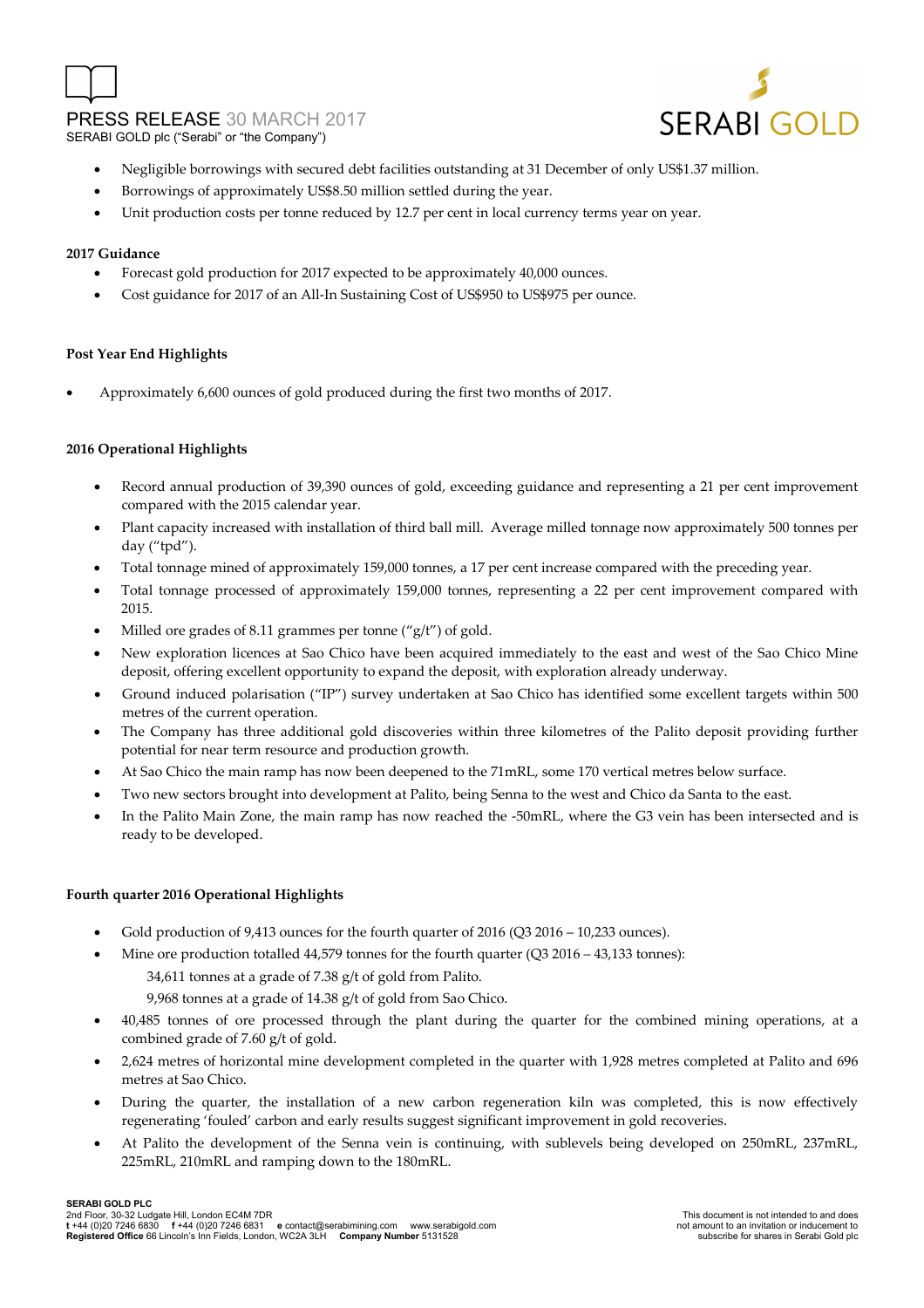



- Negligible borrowings with secured debt facilities outstanding at 31 December of only US\$1.37 million.
- Borrowings of approximately US\$8.50 million settled during the year.
- Unit production costs per tonne reduced by 12.7 per cent in local currency terms year on year.

# **2017 Guidance**

- Forecast gold production for 2017 expected to be approximately 40,000 ounces.
- Cost guidance for 2017 of an All-In Sustaining Cost of US\$950 to US\$975 per ounce.

# **Post Year End Highlights**

• Approximately 6,600 ounces of gold produced during the first two months of 2017.

# **2016 Operational Highlights**

- Record annual production of 39,390 ounces of gold, exceeding guidance and representing a 21 per cent improvement compared with the 2015 calendar year.
- Plant capacity increased with installation of third ball mill. Average milled tonnage now approximately 500 tonnes per day ("tpd").
- Total tonnage mined of approximately 159,000 tonnes, a 17 per cent increase compared with the preceding year.
- Total tonnage processed of approximately 159,000 tonnes, representing a 22 per cent improvement compared with 2015.
- Milled ore grades of 8.11 grammes per tonne ("g/t") of gold.
- New exploration licences at Sao Chico have been acquired immediately to the east and west of the Sao Chico Mine deposit, offering excellent opportunity to expand the deposit, with exploration already underway.
- Ground induced polarisation ("IP") survey undertaken at Sao Chico has identified some excellent targets within 500 metres of the current operation.
- The Company has three additional gold discoveries within three kilometres of the Palito deposit providing further potential for near term resource and production growth.
- At Sao Chico the main ramp has now been deepened to the 71mRL, some 170 vertical metres below surface.
- Two new sectors brought into development at Palito, being Senna to the west and Chico da Santa to the east.
- In the Palito Main Zone, the main ramp has now reached the -50mRL, where the G3 vein has been intersected and is ready to be developed.

## **Fourth quarter 2016 Operational Highlights**

- Gold production of 9,413 ounces for the fourth quarter of 2016 (Q3 2016 10,233 ounces).
- Mine ore production totalled  $44,579$  tonnes for the fourth quarter ( $Q3\,2016 43,133$  tonnes):
	- 34,611 tonnes at a grade of 7.38 g/t of gold from Palito.
	- 9,968 tonnes at a grade of 14.38 g/t of gold from Sao Chico.
- 40,485 tonnes of ore processed through the plant during the quarter for the combined mining operations, at a combined grade of 7.60 g/t of gold.
- 2,624 metres of horizontal mine development completed in the quarter with 1,928 metres completed at Palito and 696 metres at Sao Chico.
- During the quarter, the installation of a new carbon regeneration kiln was completed, this is now effectively regenerating 'fouled' carbon and early results suggest significant improvement in gold recoveries.
- At Palito the development of the Senna vein is continuing, with sublevels being developed on 250mRL, 237mRL, 225mRL, 210mRL and ramping down to the 180mRL.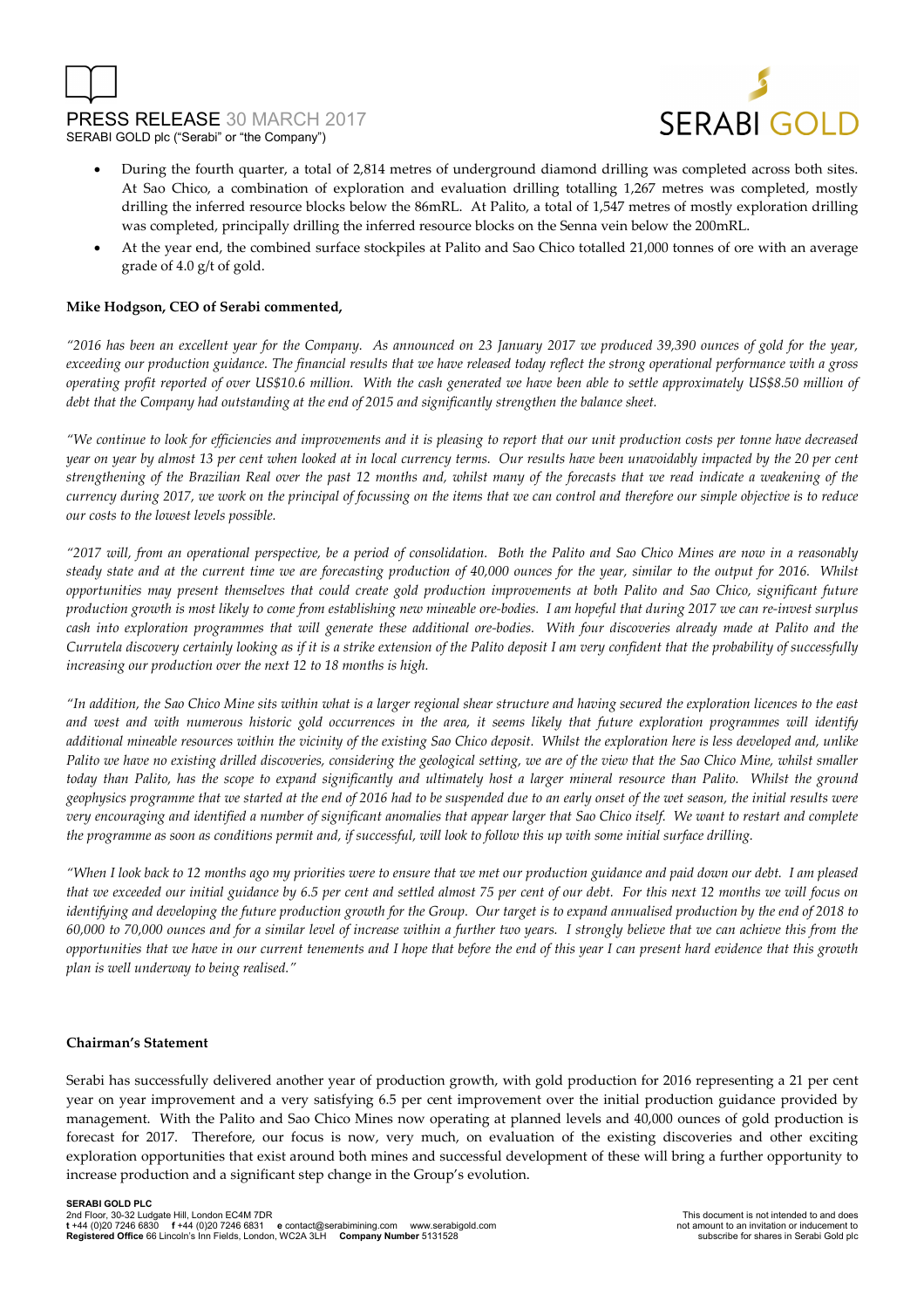



- During the fourth quarter, a total of 2,814 metres of underground diamond drilling was completed across both sites. At Sao Chico, a combination of exploration and evaluation drilling totalling 1,267 metres was completed, mostly drilling the inferred resource blocks below the 86mRL. At Palito, a total of 1,547 metres of mostly exploration drilling was completed, principally drilling the inferred resource blocks on the Senna vein below the 200mRL.
- At the year end, the combined surface stockpiles at Palito and Sao Chico totalled 21,000 tonnes of ore with an average grade of 4.0 g/t of gold.

# **Mike Hodgson, CEO of Serabi commented,**

*"2016 has been an excellent year for the Company. As announced on 23 January 2017 we produced 39,390 ounces of gold for the year, exceeding our production guidance. The financial results that we have released today reflect the strong operational performance with a gross operating profit reported of over US\$10.6 million. With the cash generated we have been able to settle approximately US\$8.50 million of debt that the Company had outstanding at the end of 2015 and significantly strengthen the balance sheet.* 

*"We continue to look for efficiencies and improvements and it is pleasing to report that our unit production costs per tonne have decreased year on year by almost 13 per cent when looked at in local currency terms. Our results have been unavoidably impacted by the 20 per cent strengthening of the Brazilian Real over the past 12 months and, whilst many of the forecasts that we read indicate a weakening of the currency during 2017, we work on the principal of focussing on the items that we can control and therefore our simple objective is to reduce our costs to the lowest levels possible.* 

*"2017 will, from an operational perspective, be a period of consolidation. Both the Palito and Sao Chico Mines are now in a reasonably steady state and at the current time we are forecasting production of 40,000 ounces for the year, similar to the output for 2016. Whilst opportunities may present themselves that could create gold production improvements at both Palito and Sao Chico, significant future production growth is most likely to come from establishing new mineable ore-bodies. I am hopeful that during 2017 we can re-invest surplus cash into exploration programmes that will generate these additional ore-bodies. With four discoveries already made at Palito and the Currutela discovery certainly looking as if it is a strike extension of the Palito deposit I am very confident that the probability of successfully increasing our production over the next 12 to 18 months is high.* 

*"In addition, the Sao Chico Mine sits within what is a larger regional shear structure and having secured the exploration licences to the east and west and with numerous historic gold occurrences in the area, it seems likely that future exploration programmes will identify additional mineable resources within the vicinity of the existing Sao Chico deposit. Whilst the exploration here is less developed and, unlike Palito we have no existing drilled discoveries, considering the geological setting, we are of the view that the Sao Chico Mine, whilst smaller*  today than Palito, has the scope to expand significantly and ultimately host a larger mineral resource than Palito. Whilst the ground *geophysics programme that we started at the end of 2016 had to be suspended due to an early onset of the wet season, the initial results were very encouraging and identified a number of significant anomalies that appear larger that Sao Chico itself. We want to restart and complete the programme as soon as conditions permit and, if successful, will look to follow this up with some initial surface drilling.* 

*"When I look back to 12 months ago my priorities were to ensure that we met our production guidance and paid down our debt. I am pleased that we exceeded our initial guidance by 6.5 per cent and settled almost 75 per cent of our debt. For this next 12 months we will focus on identifying and developing the future production growth for the Group. Our target is to expand annualised production by the end of 2018 to 60,000 to 70,000 ounces and for a similar level of increase within a further two years. I strongly believe that we can achieve this from the opportunities that we have in our current tenements and I hope that before the end of this year I can present hard evidence that this growth plan is well underway to being realised."* 

## **Chairman's Statement**

Serabi has successfully delivered another year of production growth, with gold production for 2016 representing a 21 per cent year on year improvement and a very satisfying 6.5 per cent improvement over the initial production guidance provided by management. With the Palito and Sao Chico Mines now operating at planned levels and 40,000 ounces of gold production is forecast for 2017. Therefore, our focus is now, very much, on evaluation of the existing discoveries and other exciting exploration opportunities that exist around both mines and successful development of these will bring a further opportunity to increase production and a significant step change in the Group's evolution.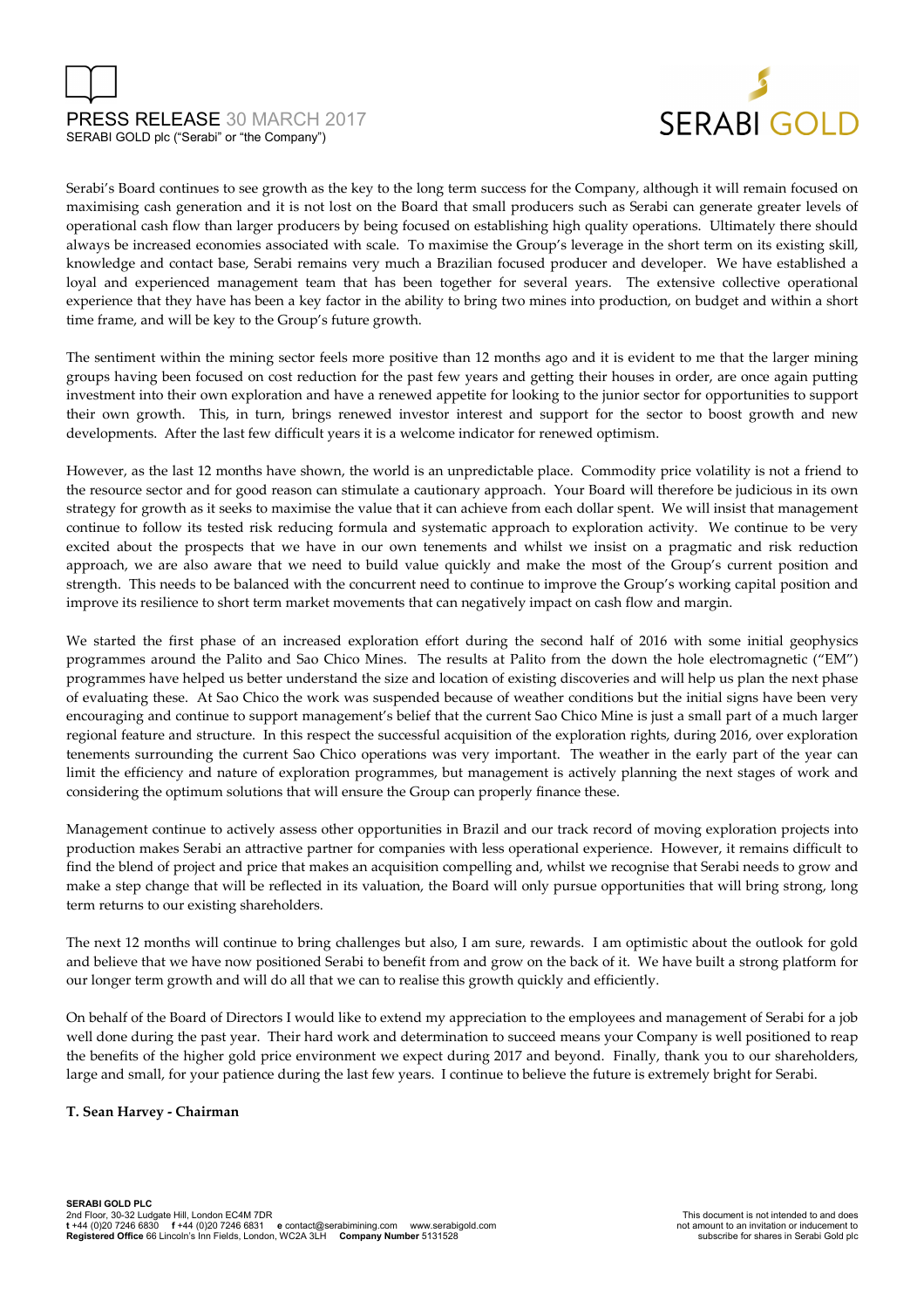

Serabi's Board continues to see growth as the key to the long term success for the Company, although it will remain focused on maximising cash generation and it is not lost on the Board that small producers such as Serabi can generate greater levels of operational cash flow than larger producers by being focused on establishing high quality operations. Ultimately there should always be increased economies associated with scale. To maximise the Group's leverage in the short term on its existing skill, knowledge and contact base, Serabi remains very much a Brazilian focused producer and developer. We have established a loyal and experienced management team that has been together for several years. The extensive collective operational experience that they have has been a key factor in the ability to bring two mines into production, on budget and within a short time frame, and will be key to the Group's future growth.

The sentiment within the mining sector feels more positive than 12 months ago and it is evident to me that the larger mining groups having been focused on cost reduction for the past few years and getting their houses in order, are once again putting investment into their own exploration and have a renewed appetite for looking to the junior sector for opportunities to support their own growth. This, in turn, brings renewed investor interest and support for the sector to boost growth and new developments. After the last few difficult years it is a welcome indicator for renewed optimism.

However, as the last 12 months have shown, the world is an unpredictable place. Commodity price volatility is not a friend to the resource sector and for good reason can stimulate a cautionary approach. Your Board will therefore be judicious in its own strategy for growth as it seeks to maximise the value that it can achieve from each dollar spent. We will insist that management continue to follow its tested risk reducing formula and systematic approach to exploration activity. We continue to be very excited about the prospects that we have in our own tenements and whilst we insist on a pragmatic and risk reduction approach, we are also aware that we need to build value quickly and make the most of the Group's current position and strength. This needs to be balanced with the concurrent need to continue to improve the Group's working capital position and improve its resilience to short term market movements that can negatively impact on cash flow and margin.

We started the first phase of an increased exploration effort during the second half of 2016 with some initial geophysics programmes around the Palito and Sao Chico Mines. The results at Palito from the down the hole electromagnetic ("EM") programmes have helped us better understand the size and location of existing discoveries and will help us plan the next phase of evaluating these. At Sao Chico the work was suspended because of weather conditions but the initial signs have been very encouraging and continue to support management's belief that the current Sao Chico Mine is just a small part of a much larger regional feature and structure. In this respect the successful acquisition of the exploration rights, during 2016, over exploration tenements surrounding the current Sao Chico operations was very important. The weather in the early part of the year can limit the efficiency and nature of exploration programmes, but management is actively planning the next stages of work and considering the optimum solutions that will ensure the Group can properly finance these.

Management continue to actively assess other opportunities in Brazil and our track record of moving exploration projects into production makes Serabi an attractive partner for companies with less operational experience. However, it remains difficult to find the blend of project and price that makes an acquisition compelling and, whilst we recognise that Serabi needs to grow and make a step change that will be reflected in its valuation, the Board will only pursue opportunities that will bring strong, long term returns to our existing shareholders.

The next 12 months will continue to bring challenges but also, I am sure, rewards. I am optimistic about the outlook for gold and believe that we have now positioned Serabi to benefit from and grow on the back of it. We have built a strong platform for our longer term growth and will do all that we can to realise this growth quickly and efficiently.

On behalf of the Board of Directors I would like to extend my appreciation to the employees and management of Serabi for a job well done during the past year. Their hard work and determination to succeed means your Company is well positioned to reap the benefits of the higher gold price environment we expect during 2017 and beyond. Finally, thank you to our shareholders, large and small, for your patience during the last few years. I continue to believe the future is extremely bright for Serabi.

# **T. Sean Harvey - Chairman**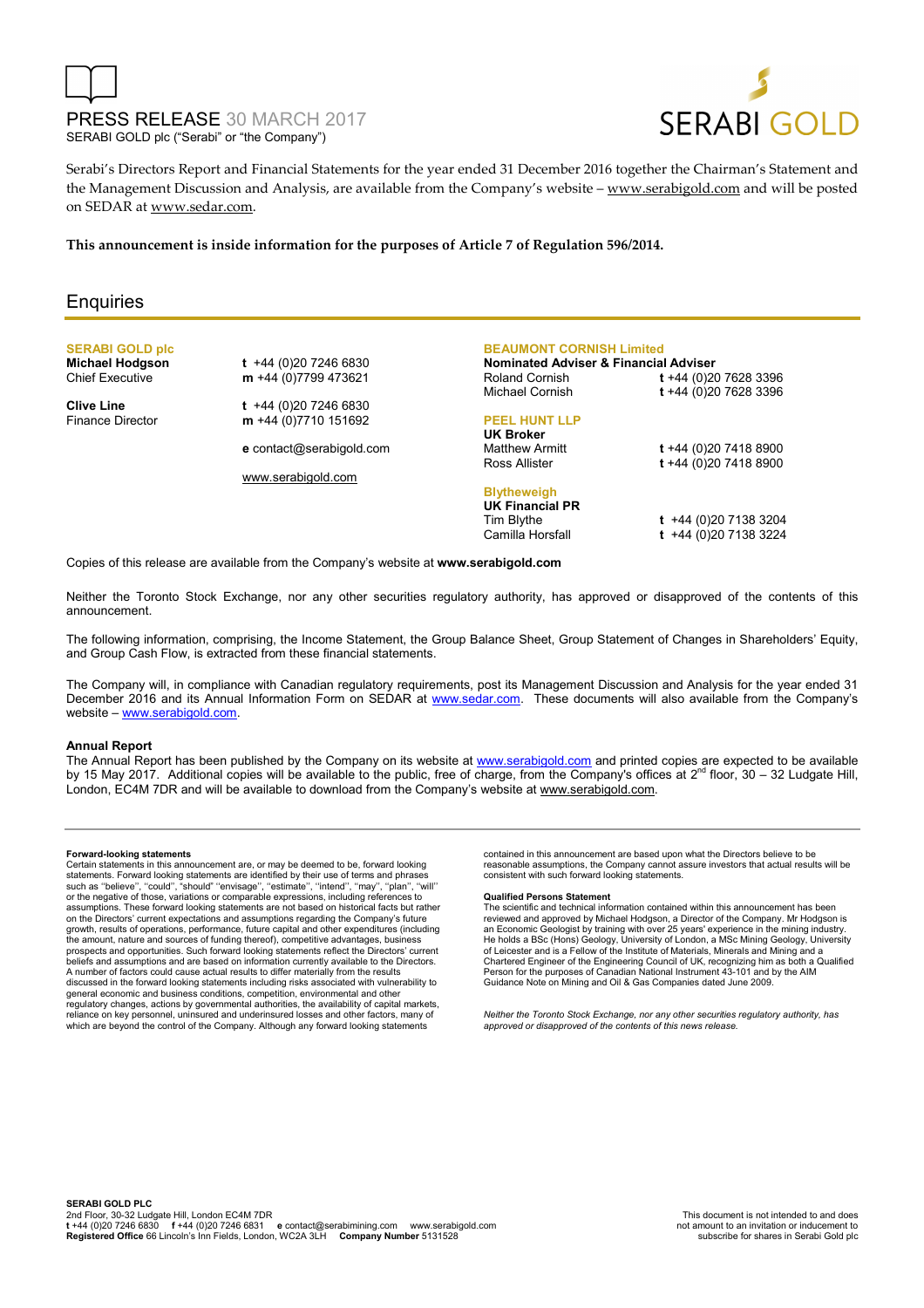



Serabi's Directors Report and Financial Statements for the year ended 31 December 2016 together the Chairman's Statement and the Management Discussion and Analysis, are available from the Company's website – www.serabigold.com and will be posted on SEDAR at www.sedar.com.

**This announcement is inside information for the purposes of Article 7 of Regulation 596/2014.** 

# **Enquiries**

# **SERABI GOLD plc**

**Michael Hodgson t** +44 (0)20 7246 6830 Chief Executive **m** +44 (0)7799 473621

**Clive Line t** +44 (0)20 7246 6830 Finance Director **m** +44 (0)7710 151692

**e** contact@serabigold.com

www.serabigold.com

# **BEAUMONT CORNISH Limited**

| Nominated Adviser & Financial Adviser |                          |  |  |  |
|---------------------------------------|--------------------------|--|--|--|
| Roland Cornish                        | $t + 44 (0)20 7628 3396$ |  |  |  |
| Michael Cornish                       | t +44 (0)20 7628 3396    |  |  |  |

# **PEEL HUNT LLP**

**UK Broker**

Matthew Armitt **t** +44 (0)20 7418 8900 Ross Allister **t** +44 (0)20 7418 8900

**Blytheweigh UK Financial PR** 

Tim Blythe **t** +44 (0)20 7138 3204

Camilla Horsfall **t** +44 (0)20 7138 3224

Copies of this release are available from the Company's website at **www.serabigold.com** 

Neither the Toronto Stock Exchange, nor any other securities regulatory authority, has approved or disapproved of the contents of this announcement.

The following information, comprising, the Income Statement, the Group Balance Sheet, Group Statement of Changes in Shareholders' Equity, and Group Cash Flow, is extracted from these financial statements.

The Company will, in compliance with Canadian regulatory requirements, post its Management Discussion and Analysis for the year ended 31 December 2016 and its Annual Information Form on SEDAR at www.sedar.com. These documents will also available from the Company's website – www.serabigold.com.

#### **Annual Report**

The Annual Report has been published by the Company on its website at www.serabigold.com and printed copies are expected to be available by 15 May 2017. Additional copies will be available to the public, free of charge, from the Company's offices at  $2<sup>nd</sup>$  floor, 30 – 32 Ludgate Hill, London, EC4M 7DR and will be available to download from the Company's website at www.serabigold.com.

#### **Forward-looking statements**

Certain statements in this announcement are, or may be deemed to be, forward looking<br>statements. Forward looking statements are identified by their use of terms and phrases<br>such as "believe", "could", "should" ''envisage'' or the negative of those, variations or comparable expressions, including references to assumptions. These forward looking statements are not based on historical facts but rather on the Directors' current expectations and assumptions regarding the Company's future growth, results of operations, performance, future capital and other expenditures (including the amount, nature and sources of funding thereof), competitive advantages, business prospects and opportunities. Such forward looking statements reflect the Directors' current beliefs and assumptions and are based on information currently available to the Directors. A number of factors could cause actual results to differ materially from the results discussed in the forward looking statements including risks associated with vulnerability to general economic and business conditions, competition, environmental and other regulatory changes, actions by governmental authorities, the availability of capital markets, reliance on key personnel, uninsured and underinsured losses and other factors, many of which are beyond the control of the Company. Although any forward looking statements

contained in this announcement are based upon what the Directors believe to be reasonable assumptions, the Company cannot assure investors that actual results will be consistent with such forward looking statements.

#### **Qualified Persons Statement**

The scientific and technical information contained within this announcement has been reviewed and approved by Michael Hodgson, a Director of the Company. Mr Hodgson is an Economic Geologist by training with over 25 years' experience in the mining industry. He holds a BSc (Hons) Geology, University of London, a MSc Mining Geology, University of Leicester and is a Fellow of the Institute of Materials, Minerals and Mining and a Chartered Engineer of the Engineering Council of UK, recognizing him as both a Qualified Person for the purposes of Canadian National Instrument 43-101 and by the AIM Guidance Note on Mining and Oil & Gas Companies dated June 2009.

*Neither the Toronto Stock Exchange, nor any other securities regulatory authority, has approved or disapproved of the contents of this news release.*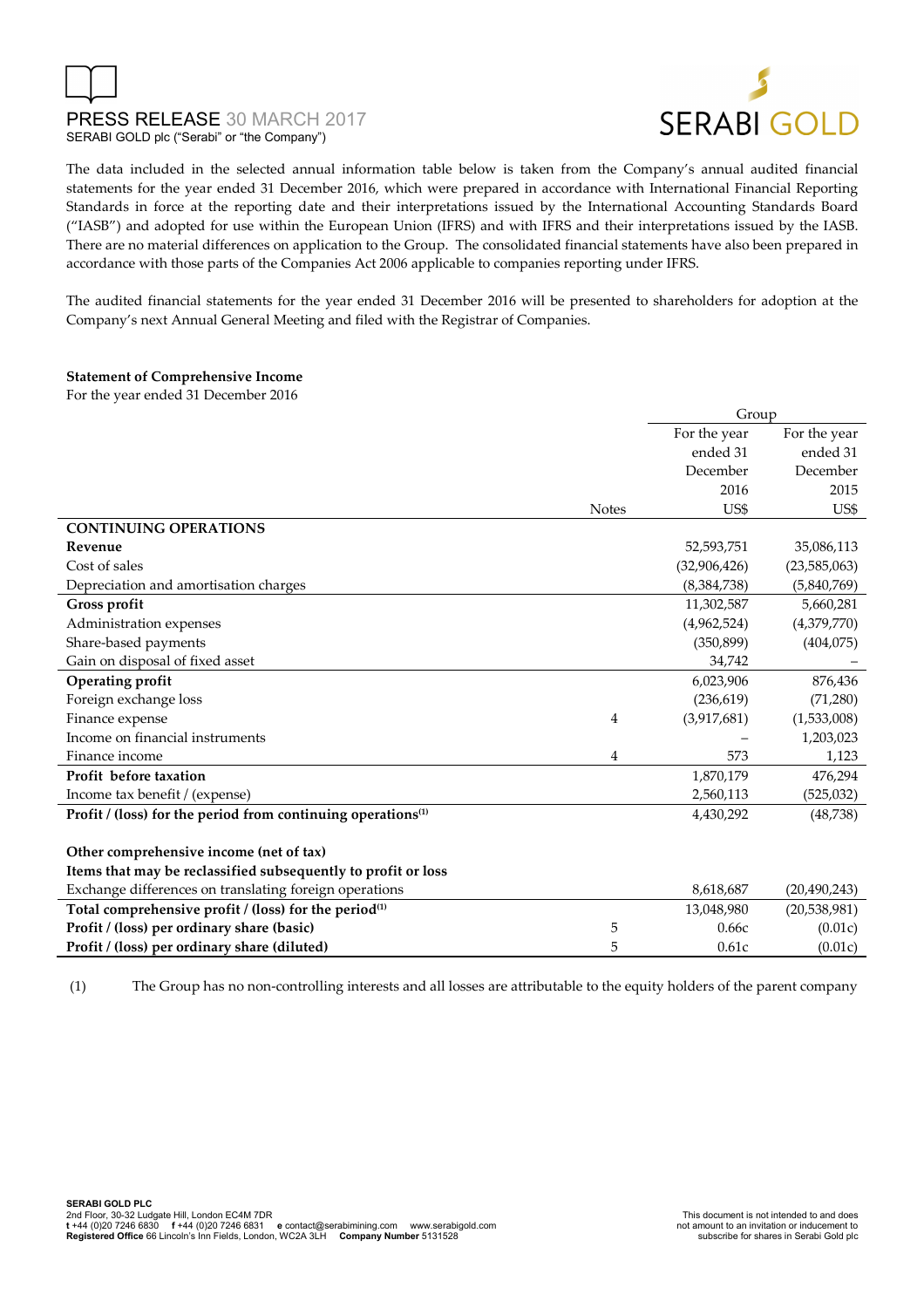

The data included in the selected annual information table below is taken from the Company's annual audited financial statements for the year ended 31 December 2016, which were prepared in accordance with International Financial Reporting Standards in force at the reporting date and their interpretations issued by the International Accounting Standards Board ("IASB") and adopted for use within the European Union (IFRS) and with IFRS and their interpretations issued by the IASB. There are no material differences on application to the Group. The consolidated financial statements have also been prepared in accordance with those parts of the Companies Act 2006 applicable to companies reporting under IFRS.

The audited financial statements for the year ended 31 December 2016 will be presented to shareholders for adoption at the Company's next Annual General Meeting and filed with the Registrar of Companies.

# **Statement of Comprehensive Income**

For the year ended 31 December 2016

|                                                                          |                | Group        |                |
|--------------------------------------------------------------------------|----------------|--------------|----------------|
|                                                                          |                | For the year | For the year   |
|                                                                          |                | ended 31     | ended 31       |
|                                                                          |                | December     | December       |
|                                                                          |                | 2016         | 2015           |
|                                                                          | <b>Notes</b>   | US\$         | US\$           |
| <b>CONTINUING OPERATIONS</b>                                             |                |              |                |
| Revenue                                                                  |                | 52,593,751   | 35,086,113     |
| Cost of sales                                                            |                | (32,906,426) | (23,585,063)   |
| Depreciation and amortisation charges                                    |                | (8,384,738)  | (5,840,769)    |
| Gross profit                                                             |                | 11,302,587   | 5,660,281      |
| Administration expenses                                                  |                | (4,962,524)  | (4,379,770)    |
| Share-based payments                                                     |                | (350, 899)   | (404, 075)     |
| Gain on disposal of fixed asset                                          |                | 34,742       |                |
| Operating profit                                                         |                | 6,023,906    | 876,436        |
| Foreign exchange loss                                                    |                | (236, 619)   | (71,280)       |
| Finance expense                                                          | 4              | (3,917,681)  | (1,533,008)    |
| Income on financial instruments                                          |                |              | 1,203,023      |
| Finance income                                                           | $\overline{4}$ | 573          | 1,123          |
| Profit before taxation                                                   |                | 1,870,179    | 476,294        |
| Income tax benefit / (expense)                                           |                | 2,560,113    | (525, 032)     |
| Profit / (loss) for the period from continuing operations <sup>(1)</sup> |                | 4,430,292    | (48,738)       |
|                                                                          |                |              |                |
| Other comprehensive income (net of tax)                                  |                |              |                |
| Items that may be reclassified subsequently to profit or loss            |                |              |                |
| Exchange differences on translating foreign operations                   |                | 8,618,687    | (20, 490, 243) |
| Total comprehensive profit / (loss) for the period <sup>(1)</sup>        |                | 13,048,980   | (20,538,981)   |
| Profit / (loss) per ordinary share (basic)                               | 5              | 0.66c        | (0.01c)        |
| Profit / (loss) per ordinary share (diluted)                             | 5              | 0.61c        | (0.01c)        |

(1) The Group has no non-controlling interests and all losses are attributable to the equity holders of the parent company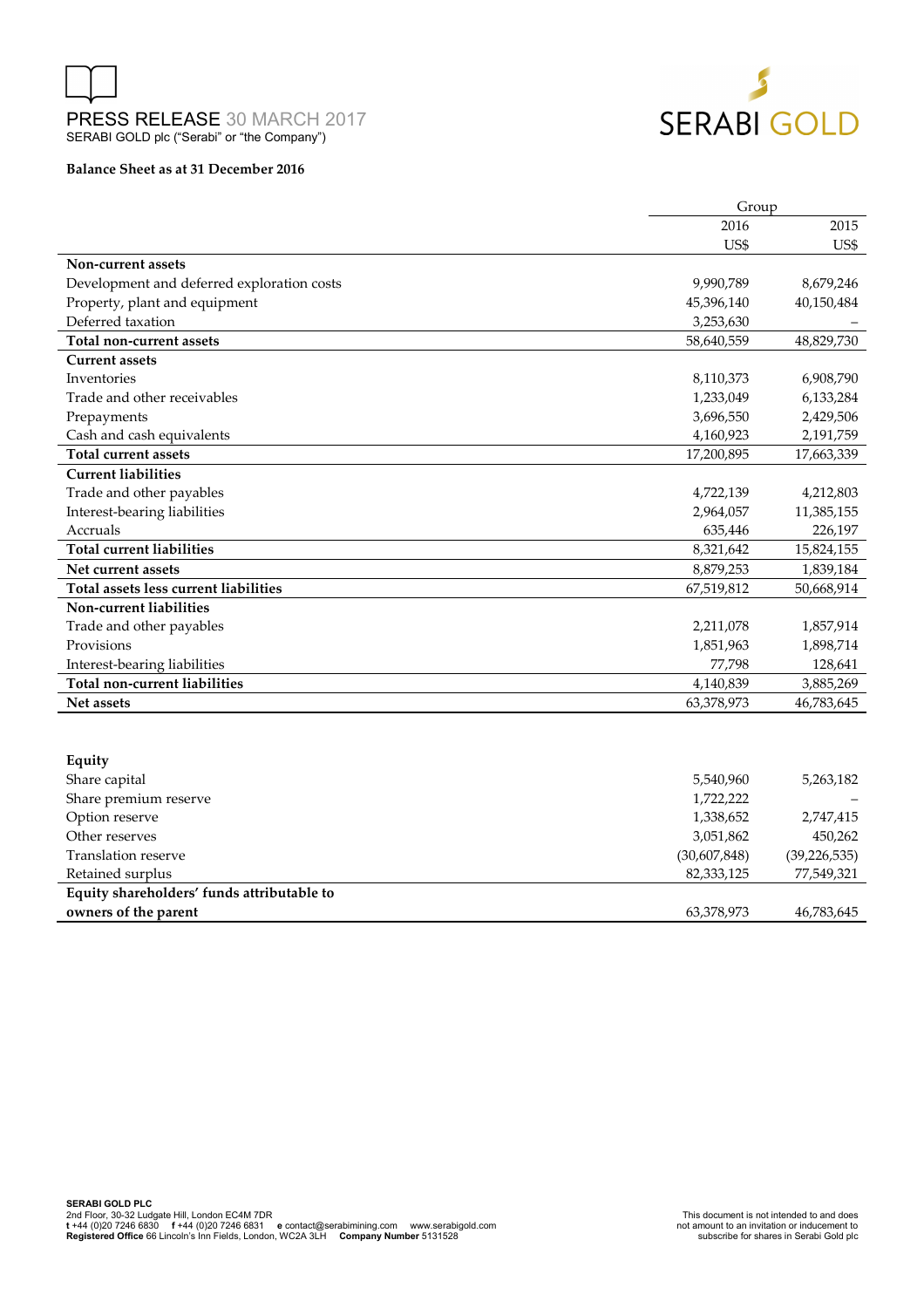



# **Balance Sheet as at 31 December 2016**

|                                            | Group        |                |
|--------------------------------------------|--------------|----------------|
|                                            | 2016         | 2015           |
|                                            | US\$         | US\$           |
| Non-current assets                         |              |                |
| Development and deferred exploration costs | 9,990,789    | 8,679,246      |
| Property, plant and equipment              | 45,396,140   | 40,150,484     |
| Deferred taxation                          | 3,253,630    |                |
| Total non-current assets                   | 58,640,559   | 48,829,730     |
| <b>Current assets</b>                      |              |                |
| Inventories                                | 8,110,373    | 6,908,790      |
| Trade and other receivables                | 1,233,049    | 6,133,284      |
| Prepayments                                | 3,696,550    | 2,429,506      |
| Cash and cash equivalents                  | 4,160,923    | 2,191,759      |
| <b>Total current assets</b>                | 17,200,895   | 17,663,339     |
| <b>Current liabilities</b>                 |              |                |
| Trade and other payables                   | 4,722,139    | 4,212,803      |
| Interest-bearing liabilities               | 2,964,057    | 11,385,155     |
| Accruals                                   | 635,446      | 226,197        |
| <b>Total current liabilities</b>           | 8,321,642    | 15,824,155     |
| Net current assets                         | 8,879,253    | 1,839,184      |
| Total assets less current liabilities      | 67,519,812   | 50,668,914     |
| Non-current liabilities                    |              |                |
| Trade and other payables                   | 2,211,078    | 1,857,914      |
| Provisions                                 | 1,851,963    | 1,898,714      |
| Interest-bearing liabilities               | 77,798       | 128,641        |
| Total non-current liabilities              | 4,140,839    | 3,885,269      |
| Net assets                                 | 63,378,973   | 46,783,645     |
|                                            |              |                |
|                                            |              |                |
| Equity                                     |              |                |
| Share capital                              | 5,540,960    | 5,263,182      |
| Share premium reserve                      | 1,722,222    |                |
| Option reserve                             | 1,338,652    | 2,747,415      |
| Other reserves                             | 3,051,862    | 450,262        |
| <b>Translation reserve</b>                 | (30,607,848) | (39, 226, 535) |
| Retained surplus                           | 82,333,125   | 77,549,321     |
| Equity shareholders' funds attributable to |              |                |

**owners of the parent** 63,378,973 46,783,645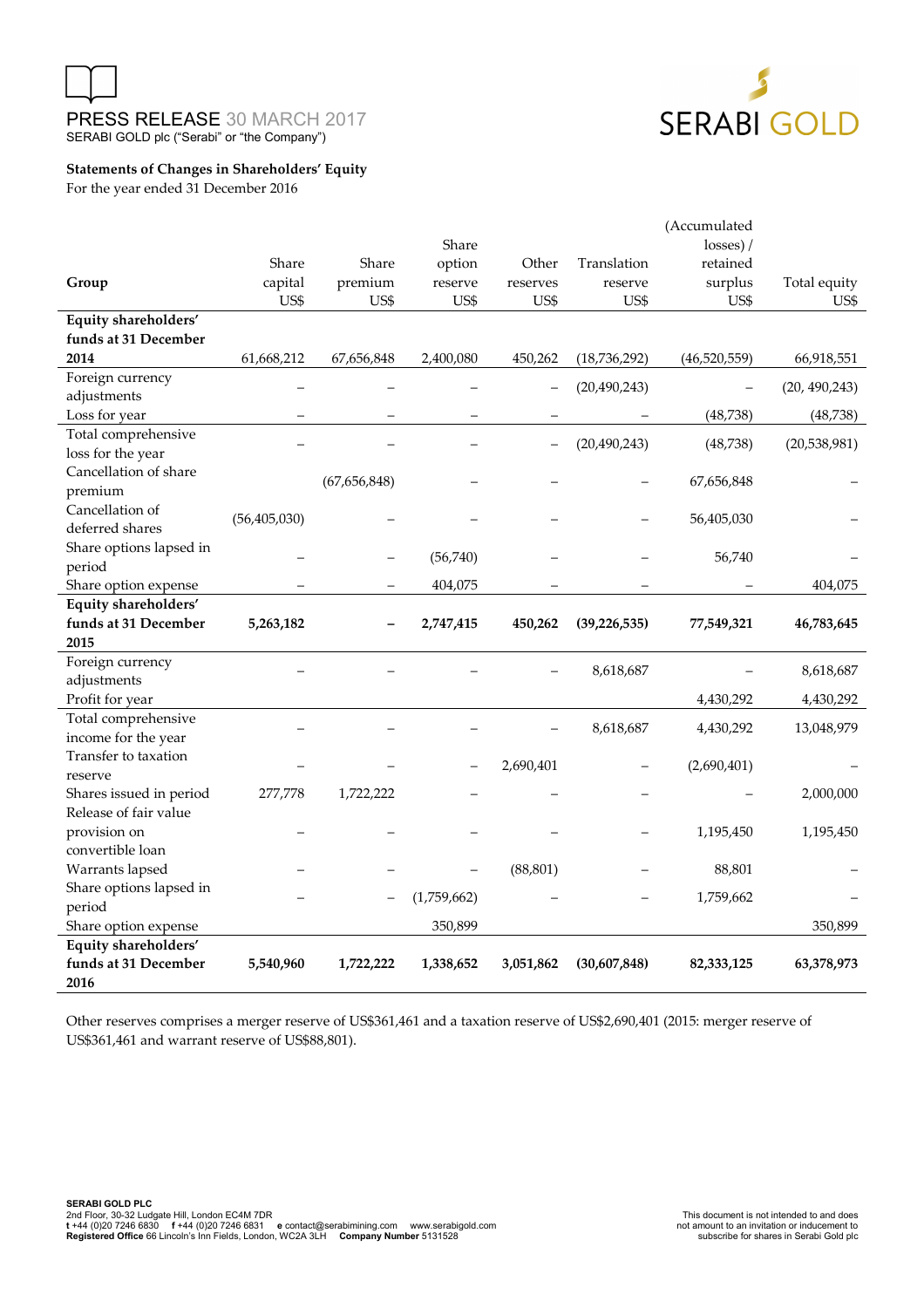



# **Statements of Changes in Shareholders' Equity**

For the year ended 31 December 2016

|                         |                |                |             |           |                | (Accumulated |                |
|-------------------------|----------------|----------------|-------------|-----------|----------------|--------------|----------------|
|                         |                |                | Share       |           |                | $losses)$ /  |                |
|                         | Share          | Share          | option      | Other     | Translation    | retained     |                |
| Group                   | capital        | premium        | reserve     | reserves  | reserve        | surplus      | Total equity   |
|                         | US\$           | US\$           | US\$        | US\$      | US\$           | US\$         | US\$           |
| Equity shareholders'    |                |                |             |           |                |              |                |
| funds at 31 December    |                |                |             |           |                |              |                |
| 2014                    | 61,668,212     | 67,656,848     | 2,400,080   | 450,262   | (18, 736, 292) | (46,520,559) | 66,918,551     |
| Foreign currency        |                |                |             |           |                |              |                |
| adjustments             |                |                |             |           | (20, 490, 243) |              | (20, 490, 243) |
| Loss for year           |                |                |             |           |                | (48, 738)    | (48, 738)      |
| Total comprehensive     |                |                |             |           |                |              |                |
| loss for the year       |                |                |             |           | (20, 490, 243) | (48, 738)    | (20, 538, 981) |
| Cancellation of share   |                |                |             |           |                |              |                |
| premium                 |                | (67, 656, 848) |             |           |                | 67,656,848   |                |
| Cancellation of         |                |                |             |           |                |              |                |
| deferred shares         | (56, 405, 030) |                |             |           |                | 56,405,030   |                |
| Share options lapsed in |                |                |             |           |                | 56,740       |                |
| period                  |                |                | (56,740)    |           |                |              |                |
| Share option expense    |                |                | 404,075     |           |                |              | 404,075        |
| Equity shareholders'    |                |                |             |           |                |              |                |
| funds at 31 December    | 5,263,182      |                | 2,747,415   | 450,262   | (39, 226, 535) | 77,549,321   | 46,783,645     |
| 2015                    |                |                |             |           |                |              |                |
| Foreign currency        |                |                |             |           | 8,618,687      |              | 8,618,687      |
| adjustments             |                |                |             |           |                |              |                |
| Profit for year         |                |                |             |           |                | 4,430,292    | 4,430,292      |
| Total comprehensive     |                |                |             |           | 8,618,687      |              |                |
| income for the year     |                |                |             |           |                | 4,430,292    | 13,048,979     |
| Transfer to taxation    |                |                |             |           |                |              |                |
| reserve                 |                |                |             | 2,690,401 |                | (2,690,401)  |                |
| Shares issued in period | 277,778        | 1,722,222      |             |           |                |              | 2,000,000      |
| Release of fair value   |                |                |             |           |                |              |                |
| provision on            |                |                |             |           |                | 1,195,450    | 1,195,450      |
| convertible loan        |                |                |             |           |                |              |                |
| Warrants lapsed         |                |                |             | (88, 801) |                | 88,801       |                |
| Share options lapsed in |                |                | (1,759,662) |           |                |              |                |
| period                  |                |                |             |           |                | 1,759,662    |                |
| Share option expense    |                |                | 350,899     |           |                |              | 350,899        |
| Equity shareholders'    |                |                |             |           |                |              |                |
| funds at 31 December    | 5,540,960      | 1,722,222      | 1,338,652   | 3,051,862 | (30,607,848)   | 82,333,125   | 63,378,973     |
| 2016                    |                |                |             |           |                |              |                |

Other reserves comprises a merger reserve of US\$361,461 and a taxation reserve of US\$2,690,401 (2015: merger reserve of US\$361,461 and warrant reserve of US\$88,801).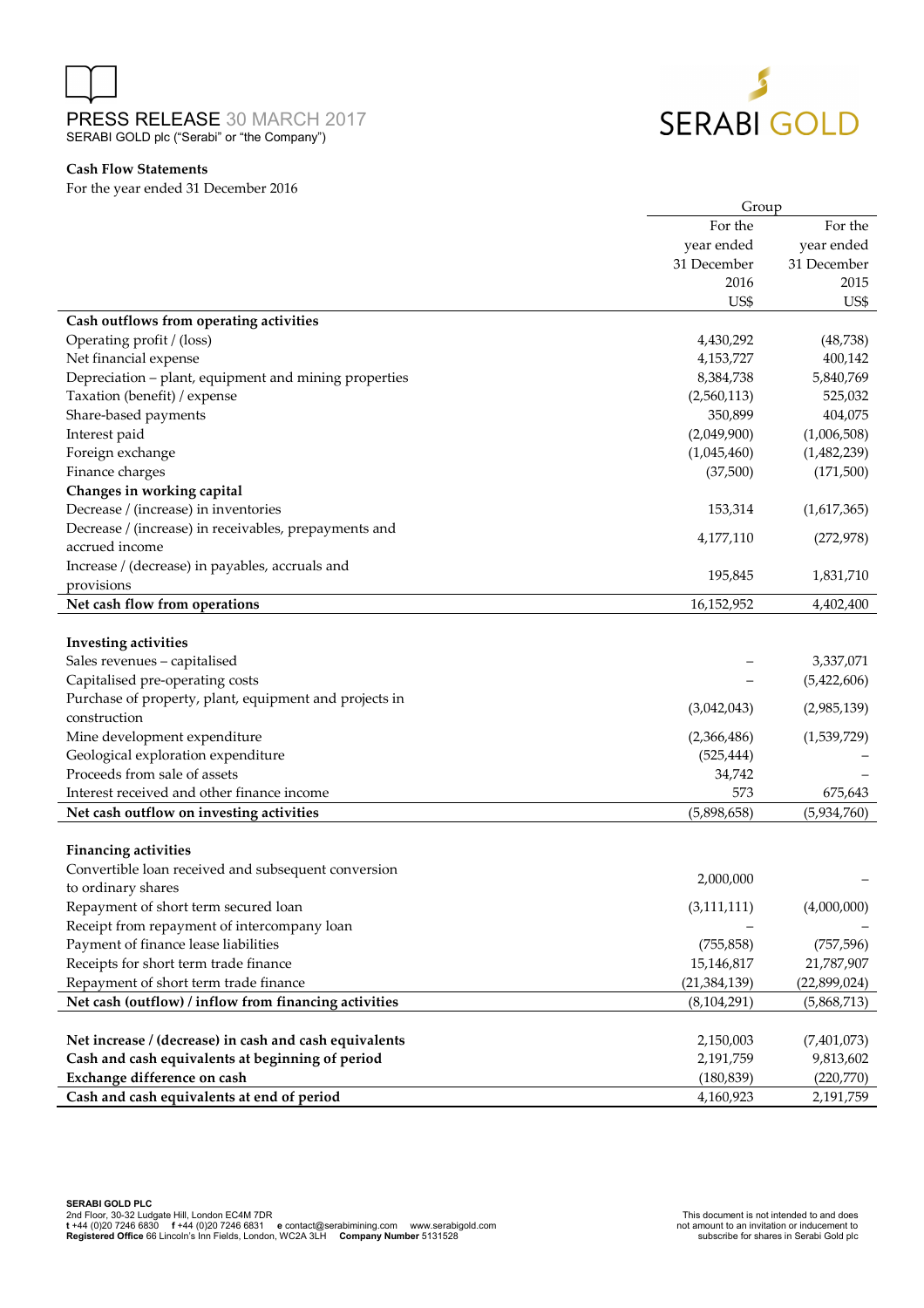



For the year ended 31 December 2016



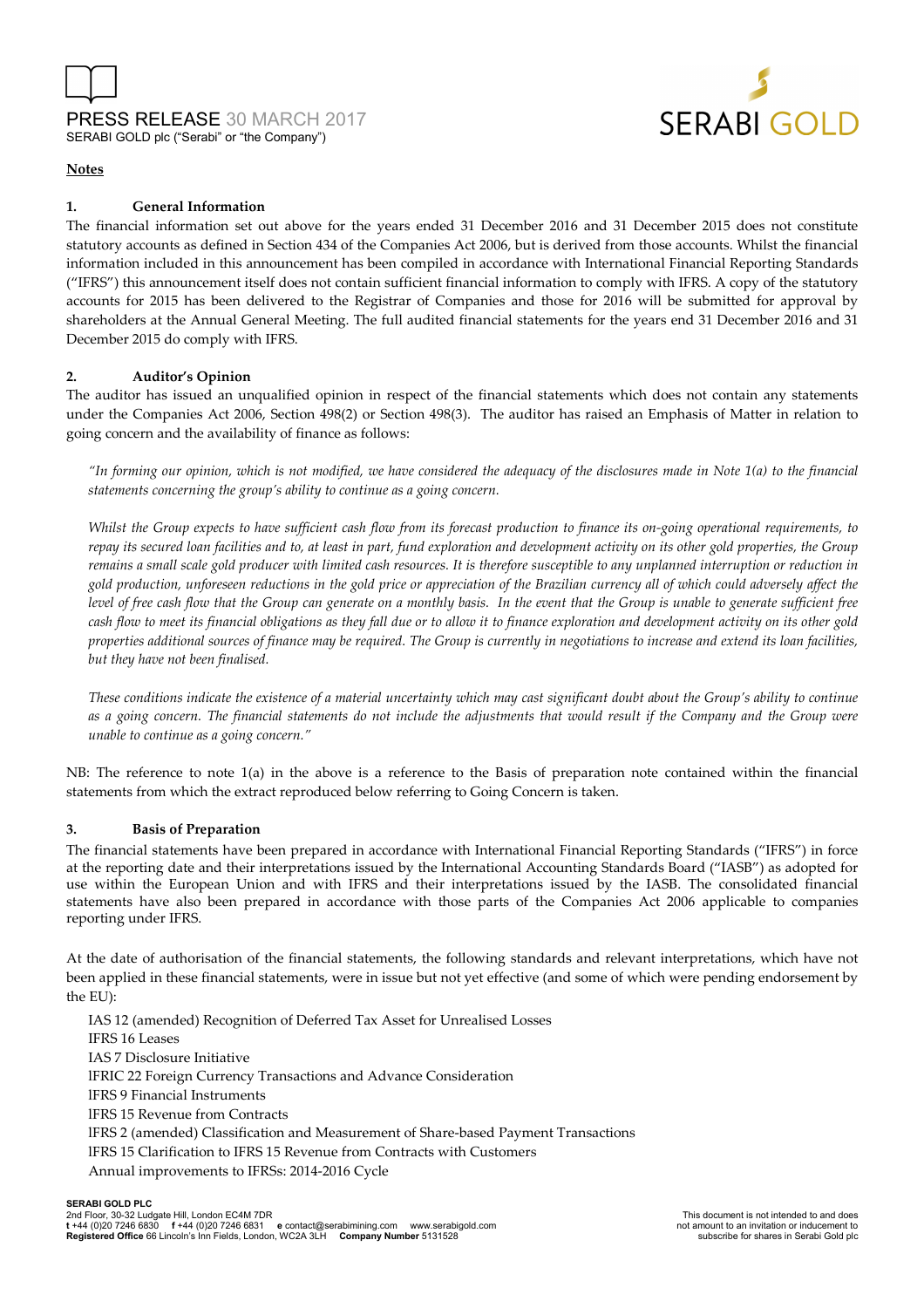



# **Notes**

# **1. General Information**

The financial information set out above for the years ended 31 December 2016 and 31 December 2015 does not constitute statutory accounts as defined in Section 434 of the Companies Act 2006, but is derived from those accounts. Whilst the financial information included in this announcement has been compiled in accordance with International Financial Reporting Standards ("IFRS") this announcement itself does not contain sufficient financial information to comply with IFRS. A copy of the statutory accounts for 2015 has been delivered to the Registrar of Companies and those for 2016 will be submitted for approval by shareholders at the Annual General Meeting. The full audited financial statements for the years end 31 December 2016 and 31 December 2015 do comply with IFRS.

## **2. Auditor's Opinion**

The auditor has issued an unqualified opinion in respect of the financial statements which does not contain any statements under the Companies Act 2006, Section 498(2) or Section 498(3). The auditor has raised an Emphasis of Matter in relation to going concern and the availability of finance as follows:

*"In forming our opinion, which is not modified, we have considered the adequacy of the disclosures made in Note 1(a) to the financial statements concerning the group's ability to continue as a going concern.* 

*Whilst the Group expects to have sufficient cash flow from its forecast production to finance its on-going operational requirements, to repay its secured loan facilities and to, at least in part, fund exploration and development activity on its other gold properties, the Group remains a small scale gold producer with limited cash resources. It is therefore susceptible to any unplanned interruption or reduction in gold production, unforeseen reductions in the gold price or appreciation of the Brazilian currency all of which could adversely affect the level of free cash flow that the Group can generate on a monthly basis. In the event that the Group is unable to generate sufficient free cash flow to meet its financial obligations as they fall due or to allow it to finance exploration and development activity on its other gold properties additional sources of finance may be required. The Group is currently in negotiations to increase and extend its loan facilities, but they have not been finalised.* 

*These conditions indicate the existence of a material uncertainty which may cast significant doubt about the Group's ability to continue as a going concern. The financial statements do not include the adjustments that would result if the Company and the Group were unable to continue as a going concern."* 

NB: The reference to note 1(a) in the above is a reference to the Basis of preparation note contained within the financial statements from which the extract reproduced below referring to Going Concern is taken.

# **3. Basis of Preparation**

The financial statements have been prepared in accordance with International Financial Reporting Standards ("IFRS") in force at the reporting date and their interpretations issued by the International Accounting Standards Board ("IASB") as adopted for use within the European Union and with IFRS and their interpretations issued by the IASB. The consolidated financial statements have also been prepared in accordance with those parts of the Companies Act 2006 applicable to companies reporting under IFRS.

At the date of authorisation of the financial statements, the following standards and relevant interpretations, which have not been applied in these financial statements, were in issue but not yet effective (and some of which were pending endorsement by the EU):

IAS 12 (amended) Recognition of Deferred Tax Asset for Unrealised Losses IFRS 16 Leases IAS 7 Disclosure Initiative lFRIC 22 Foreign Currency Transactions and Advance Consideration lFRS 9 Financial Instruments lFRS 15 Revenue from Contracts lFRS 2 (amended) Classification and Measurement of Share-based Payment Transactions lFRS 15 Clarification to IFRS 15 Revenue from Contracts with Customers Annual improvements to IFRSs: 2014-2016 Cycle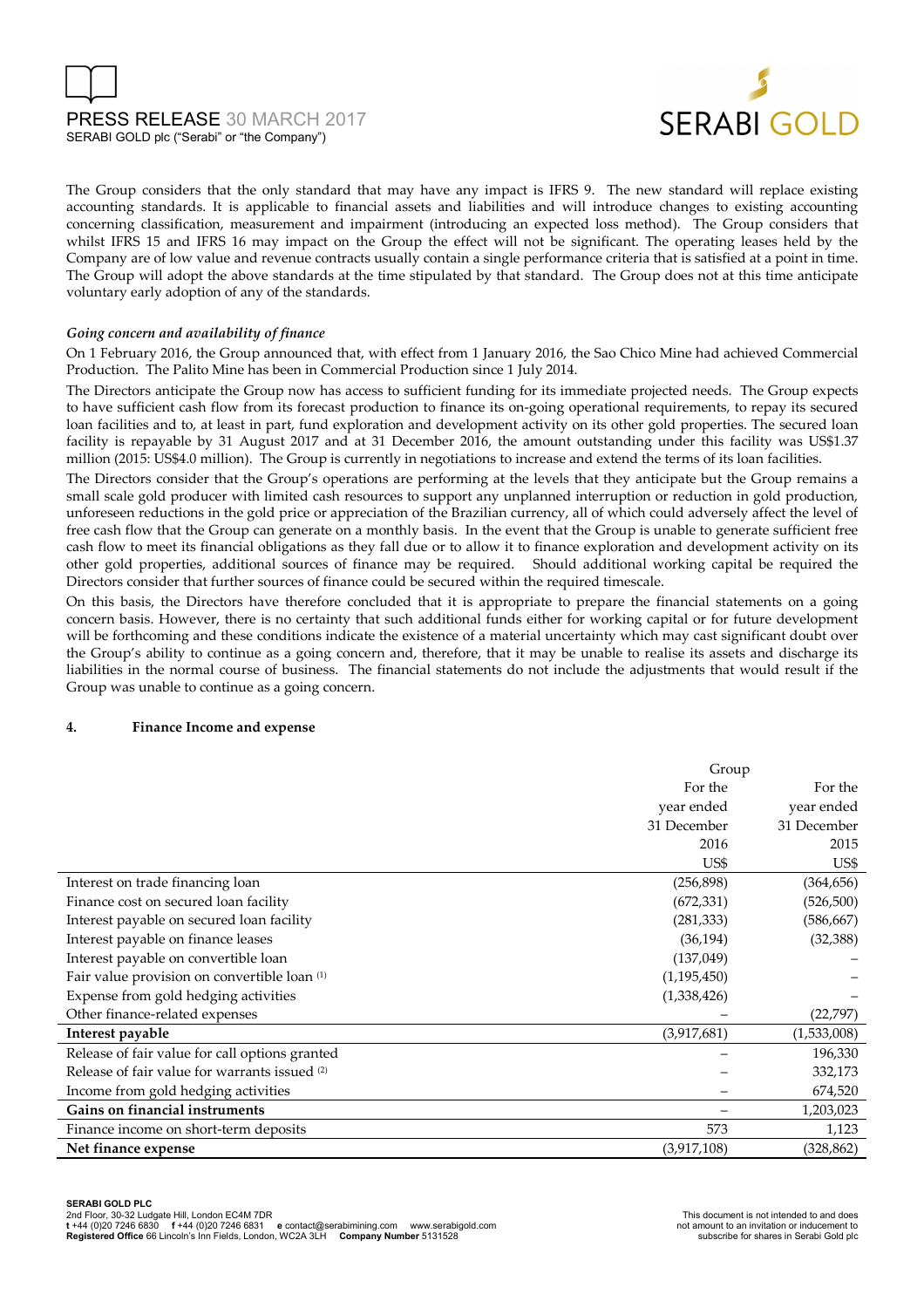

The Group considers that the only standard that may have any impact is IFRS 9. The new standard will replace existing accounting standards. It is applicable to financial assets and liabilities and will introduce changes to existing accounting concerning classification, measurement and impairment (introducing an expected loss method). The Group considers that whilst IFRS 15 and IFRS 16 may impact on the Group the effect will not be significant. The operating leases held by the Company are of low value and revenue contracts usually contain a single performance criteria that is satisfied at a point in time. The Group will adopt the above standards at the time stipulated by that standard. The Group does not at this time anticipate voluntary early adoption of any of the standards.

# *Going concern and availability of finance*

On 1 February 2016, the Group announced that, with effect from 1 January 2016, the Sao Chico Mine had achieved Commercial Production. The Palito Mine has been in Commercial Production since 1 July 2014.

The Directors anticipate the Group now has access to sufficient funding for its immediate projected needs. The Group expects to have sufficient cash flow from its forecast production to finance its on-going operational requirements, to repay its secured loan facilities and to, at least in part, fund exploration and development activity on its other gold properties. The secured loan facility is repayable by 31 August 2017 and at 31 December 2016, the amount outstanding under this facility was US\$1.37 million (2015: US\$4.0 million). The Group is currently in negotiations to increase and extend the terms of its loan facilities.

The Directors consider that the Group's operations are performing at the levels that they anticipate but the Group remains a small scale gold producer with limited cash resources to support any unplanned interruption or reduction in gold production, unforeseen reductions in the gold price or appreciation of the Brazilian currency, all of which could adversely affect the level of free cash flow that the Group can generate on a monthly basis. In the event that the Group is unable to generate sufficient free cash flow to meet its financial obligations as they fall due or to allow it to finance exploration and development activity on its other gold properties, additional sources of finance may be required. Should additional working capital be required the Directors consider that further sources of finance could be secured within the required timescale.

On this basis, the Directors have therefore concluded that it is appropriate to prepare the financial statements on a going concern basis. However, there is no certainty that such additional funds either for working capital or for future development will be forthcoming and these conditions indicate the existence of a material uncertainty which may cast significant doubt over the Group's ability to continue as a going concern and, therefore, that it may be unable to realise its assets and discharge its liabilities in the normal course of business. The financial statements do not include the adjustments that would result if the Group was unable to continue as a going concern.

## **4. Finance Income and expense**

|                                                | Group         |             |  |
|------------------------------------------------|---------------|-------------|--|
|                                                | For the       | For the     |  |
|                                                | year ended    | year ended  |  |
|                                                | 31 December   | 31 December |  |
|                                                | 2016          | 2015        |  |
|                                                | US\$          | US\$        |  |
| Interest on trade financing loan               | (256, 898)    | (364, 656)  |  |
| Finance cost on secured loan facility          | (672, 331)    | (526, 500)  |  |
| Interest payable on secured loan facility      | (281, 333)    | (586, 667)  |  |
| Interest payable on finance leases             | (36, 194)     | (32, 388)   |  |
| Interest payable on convertible loan           | (137, 049)    |             |  |
| Fair value provision on convertible loan (1)   | (1, 195, 450) |             |  |
| Expense from gold hedging activities           | (1,338,426)   |             |  |
| Other finance-related expenses                 |               | (22,797)    |  |
| Interest payable                               | (3,917,681)   | (1,533,008) |  |
| Release of fair value for call options granted |               | 196,330     |  |
| Release of fair value for warrants issued (2)  |               | 332,173     |  |
| Income from gold hedging activities            |               | 674,520     |  |
| <b>Gains on financial instruments</b>          |               | 1,203,023   |  |
| Finance income on short-term deposits          | 573           | 1,123       |  |
| Net finance expense                            | (3,917,108)   | (328, 862)  |  |